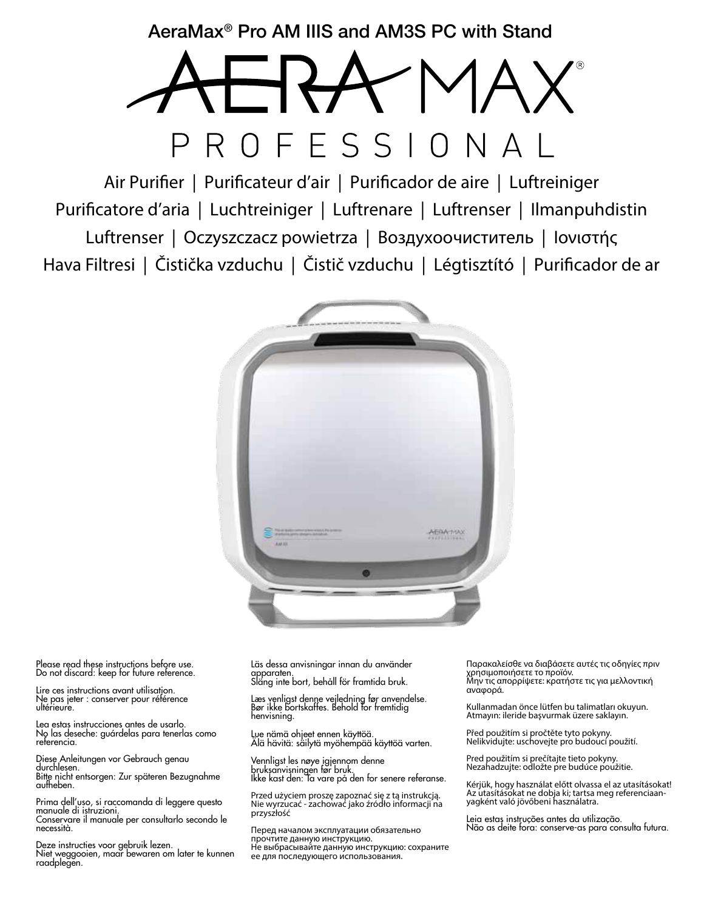AeraMax® Pro AM IIIS and AM3S PC with Stand

# ROFESSI

Air Purifier | Purificateur d'air | Purificador de aire | Luftreiniger Purificatore d'aria | Luchtreiniger | Luftrenare | Luftrenser | Ilmanpuhdistin Luftrenser | Oczyszczacz powietrza | Воздухоочиститель | Ιονιστής Hava Filtresi | Čistička vzduchu | Čistič vzduchu | Légtisztító | Purificador de ar



Please read these instructions before use. Do not discard: keep for future reference.

Lire ces instructions avant utilisation. Ne pas jeter : conserver pour référence ultérieure.

Lea estas instrucciones antes de usarlo. No las deseche: guárdelas para tenerlas como referencia.

Diese Anleitungen vor Gebrauch genau durchlesen. Bitte nicht entsorgen: Zur späteren Bezugnahme aufheben.

Prima dell'uso, si raccomanda di leggere questo manuale di istruzioni. Conservare il manuale per consultarlo secondo le necessità.

Deze instructies voor gebruik lezen. Niet weggooien, maar bewaren om later te kunnen raadplegen.

Läs dessa anvisningar innan du använder apparaten. Släng inte bort, behåll för framtida bruk.

Læs venligst denne vejledning før anvendelse. Bør ikke bortskaffes. Behold for fremtidig henvisning.

Lue nämä ohjeet ennen käyttöä. Älä hävitä: säilytä myöhempää käyttöä varten.

Vennligst les nøye igjennom denne bruksanvisningen før bruk. Ikke kast den: Ta vare på den for senere referanse.

Przed użyciem proszę zapoznać się z tą instrukcją. Nie wyrzucać - zachować jako źródło informacji na przyszłość

Перед началом эксплуатации обязательно прочтите данную инструкцию. Не выбрасывайте данную инструкцию: сохраните ее для последующего использования.

Παρακαλείσθε να διαβάσετε αυτές τις οδηγίες πριν χρησιμοποιήσετε το προϊόν. Μην τις απορρίψετε: κρατήστε τις για μελλοντική αναφορά.

Kullanmadan önce lütfen bu talimatları okuyun. Atmayın: ileride başvurmak üzere saklayın.

Před použitím si pročtěte tyto pokyny. Nelikvidujte: uschovejte pro budoucí použití.

Pred použitím si prečítajte tieto pokyny. Nezahadzujte: odložte pre budúce použitie.

Kérjük, hogy használat előtt olvassa el az utasításokat! Az utasításokat ne dobja ki; tartsa meg referenciaan- yagként való jövőbeni használatra.

Leia estas instruções antes da utilização. Não as deite fora: conserve-as para consulta futura.